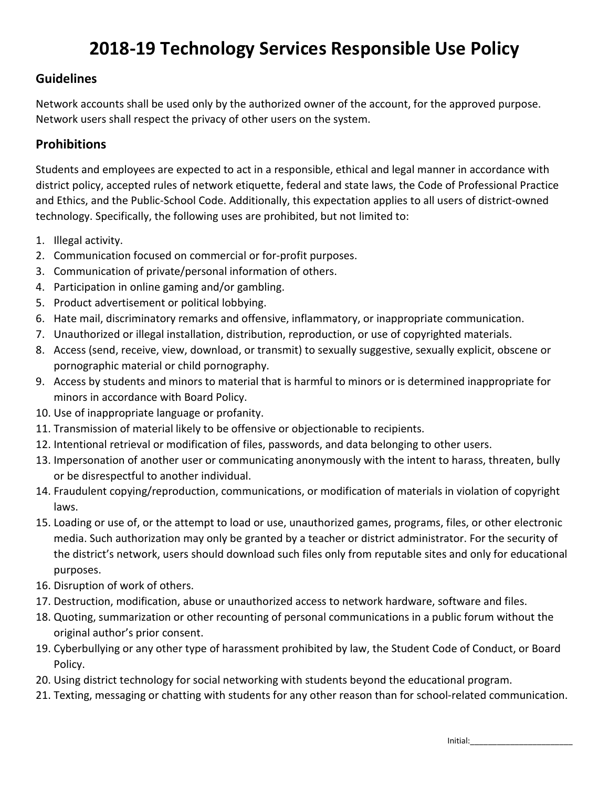# **2018-19 Technology Services Responsible Use Policy**

### **Guidelines**

Network accounts shall be used only by the authorized owner of the account, for the approved purpose. Network users shall respect the privacy of other users on the system.

## **Prohibitions**

Students and employees are expected to act in a responsible, ethical and legal manner in accordance with district policy, accepted rules of network etiquette, federal and state laws, the Code of Professional Practice and Ethics, and the Public-School Code. Additionally, this expectation applies to all users of district-owned technology. Specifically, the following uses are prohibited, but not limited to:

- 1. Illegal activity.
- 2. Communication focused on commercial or for-profit purposes.
- 3. Communication of private/personal information of others.
- 4. Participation in online gaming and/or gambling.
- 5. Product advertisement or political lobbying.
- 6. Hate mail, discriminatory remarks and offensive, inflammatory, or inappropriate communication.
- 7. Unauthorized or illegal installation, distribution, reproduction, or use of copyrighted materials.
- 8. Access (send, receive, view, download, or transmit) to sexually suggestive, sexually explicit, obscene or pornographic material or child pornography.
- 9. Access by students and minors to material that is harmful to minors or is determined inappropriate for minors in accordance with Board Policy.
- 10. Use of inappropriate language or profanity.
- 11. Transmission of material likely to be offensive or objectionable to recipients.
- 12. Intentional retrieval or modification of files, passwords, and data belonging to other users.
- 13. Impersonation of another user or communicating anonymously with the intent to harass, threaten, bully or be disrespectful to another individual.
- 14. Fraudulent copying/reproduction, communications, or modification of materials in violation of copyright laws.
- 15. Loading or use of, or the attempt to load or use, unauthorized games, programs, files, or other electronic media. Such authorization may only be granted by a teacher or district administrator. For the security of the district's network, users should download such files only from reputable sites and only for educational purposes.
- 16. Disruption of work of others.
- 17. Destruction, modification, abuse or unauthorized access to network hardware, software and files.
- 18. Quoting, summarization or other recounting of personal communications in a public forum without the original author's prior consent.
- 19. Cyberbullying or any other type of harassment prohibited by law, the Student Code of Conduct, or Board Policy.
- 20. Using district technology for social networking with students beyond the educational program.
- 21. Texting, messaging or chatting with students for any other reason than for school-related communication.